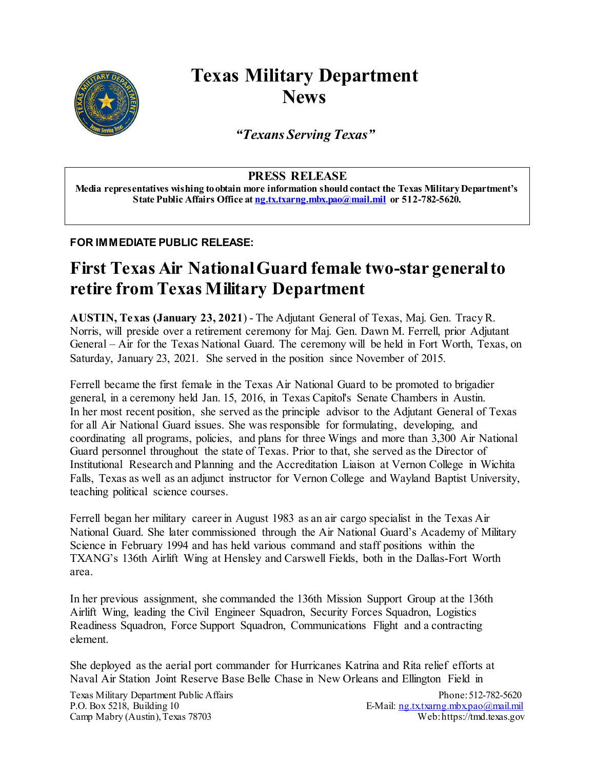

## **Texas Military Department News**

*"Texans Serving Texas"*

## **PRESS RELEASE**

**Media representatives wishing to obtain more information should contact the Texas Military Department's State Public Affairs Office at [ng.tx.txarng.mbx.pao@mail.mil](mailto:ng.tx.txarng.mbx.pao@mail.mil) or 512-782-5620.**

## **FOR IMMEDIATE PUBLIC RELEASE:**

## **First Texas Air National Guard female two-star general to retire from Texas Military Department**

**AUSTIN, Texas (January 23, 2021**) - The Adjutant General of Texas, Maj. Gen. Tracy R. Norris, will preside over a retirement ceremony for Maj. Gen. Dawn M. Ferrell, prior Adjutant General – Air for the Texas National Guard. The ceremony will be held in Fort Worth, Texas, on Saturday, January 23, 2021. She served in the position since November of 2015.

Ferrell became the first female in the Texas Air National Guard to be promoted to brigadier general, in a ceremony held Jan. 15, 2016, in Texas Capitol's Senate Chambers in Austin. In her most recent position, she served as the principle advisor to the Adjutant General of Texas for all Air National Guard issues. She was responsible for formulating, developing, and coordinating all programs, policies, and plans for three Wings and more than 3,300 Air National Guard personnel throughout the state of Texas. Prior to that, she served as the Director of Institutional Research and Planning and the Accreditation Liaison at Vernon College in Wichita Falls, Texas as well as an adjunct instructor for Vernon College and Wayland Baptist University, teaching political science courses.

Ferrell began her military career in August 1983 as an air cargo specialist in the Texas Air National Guard. She later commissioned through the Air National Guard's Academy of Military Science in February 1994 and has held various command and staff positions within the TXANG's 136th Airlift Wing at Hensley and Carswell Fields, both in the Dallas-Fort Worth area.

In her previous assignment, she commanded the 136th Mission Support Group at the 136th Airlift Wing, leading the Civil Engineer Squadron, Security Forces Squadron, Logistics Readiness Squadron, Force Support Squadron, Communications Flight and a contracting element.

She deployed as the aerial port commander for Hurricanes Katrina and Rita relief efforts at Naval Air Station Joint Reserve Base Belle Chase in New Orleans and Ellington Field in

Texas Military Department Public Affairs<br>
P.O. Box 5218, Building 10<br>
E-Mail: ng.txtxarng.mbx.pao@mail.mil Camp Mabry (Austin), Texas 78703